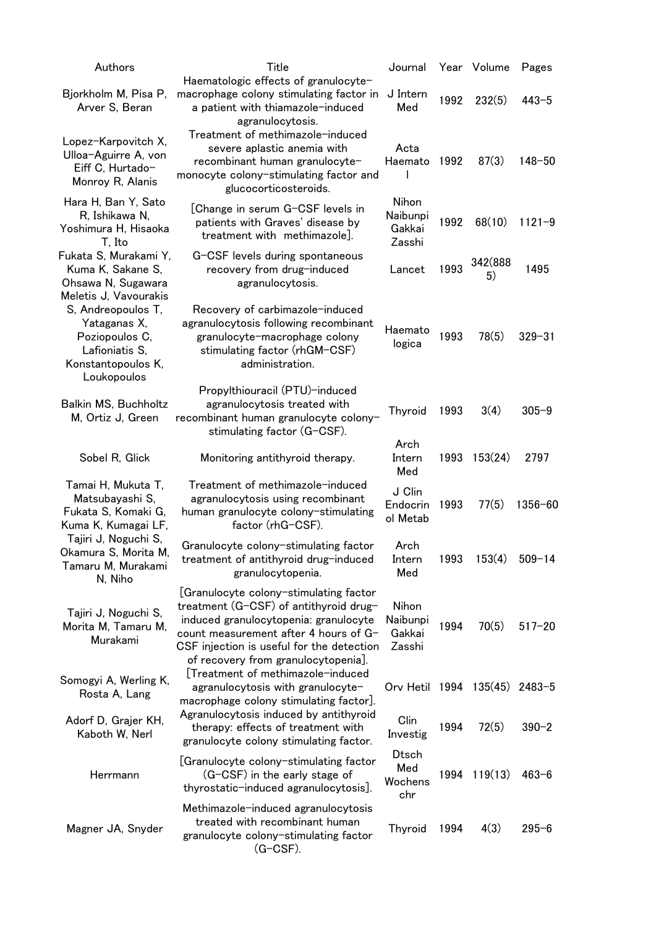| Authors                                                                                                                              | Title                                                                                                                                                                                                                                                  | Journal                               |      | Year Volume   | Pages      |
|--------------------------------------------------------------------------------------------------------------------------------------|--------------------------------------------------------------------------------------------------------------------------------------------------------------------------------------------------------------------------------------------------------|---------------------------------------|------|---------------|------------|
| Bjorkholm M, Pisa P,<br>Arver S, Beran                                                                                               | Haematologic effects of granulocyte-<br>macrophage colony stimulating factor in<br>a patient with thiamazole-induced<br>agranulocytosis.                                                                                                               | J Intern<br>Med                       | 1992 | 232(5)        | $443 - 5$  |
| Lopez-Karpovitch X,<br>Ulloa-Aguirre A, von<br>Eiff C, Hurtado-<br>Monroy R, Alanis                                                  | Treatment of methimazole-induced<br>severe aplastic anemia with<br>recombinant human granulocyte-<br>monocyte colony-stimulating factor and<br>glucocorticosteroids.                                                                                   | Acta<br>Haemato                       | 1992 | 87(3)         | $148 - 50$ |
| Hara H, Ban Y, Sato<br>R, Ishikawa N,<br>Yoshimura H, Hisaoka<br>T, Ito                                                              | [Change in serum G-CSF levels in<br>patients with Graves' disease by<br>treatment with methimazole].                                                                                                                                                   | Nihon<br>Naibunpi<br>Gakkai<br>Zasshi | 1992 | 68(10)        | $1121 - 9$ |
| Fukata S, Murakami Y,<br>Kuma K, Sakane S,<br>Ohsawa N, Sugawara                                                                     | G-CSF levels during spontaneous<br>recovery from drug-induced<br>agranulocytosis.                                                                                                                                                                      | Lancet                                | 1993 | 342(888<br>5) | 1495       |
| Meletis J, Vavourakis<br>S, Andreopoulos T,<br>Yataganas X,<br>Poziopoulos C,<br>Lafioniatis S,<br>Konstantopoulos K,<br>Loukopoulos | Recovery of carbimazole-induced<br>agranulocytosis following recombinant<br>granulocyte-macrophage colony<br>stimulating factor (rhGM-CSF)<br>administration.                                                                                          | Haemato<br>logica                     | 1993 | 78(5)         | $329 - 31$ |
| Balkin MS, Buchholtz<br>M, Ortiz J, Green                                                                                            | Propylthiouracil (PTU)-induced<br>agranulocytosis treated with<br>recombinant human granulocyte colony-<br>stimulating factor (G-CSF).                                                                                                                 | Thyroid                               | 1993 | 3(4)          | $305 - 9$  |
| Sobel R, Glick                                                                                                                       | Monitoring antithyroid therapy.                                                                                                                                                                                                                        | Arch<br>Intern<br>Med                 | 1993 | 153(24)       | 2797       |
| Tamai H, Mukuta T,<br>Matsubayashi S,<br>Fukata S, Komaki G,<br>Kuma K, Kumagai LF,                                                  | Treatment of methimazole-induced<br>agranulocytosis using recombinant<br>human granulocyte colony-stimulating<br>factor (rhG-CSF).                                                                                                                     | J Clin<br>Endocrin<br>ol Metab        | 1993 | 77(5)         | 1356-60    |
| Tajiri J, Noguchi S,<br>Okamura S, Morita M,<br>Tamaru M, Murakami<br>N, Niho                                                        | Granulocyte colony-stimulating factor<br>treatment of antithyroid drug-induced<br>granulocytopenia.                                                                                                                                                    | Arch<br>Intern<br>Med                 | 1993 | 153(4)        | $509 - 14$ |
| Tajiri J, Noguchi S,<br>Morita M, Tamaru M,<br>Murakami                                                                              | [Granulocyte colony-stimulating factor<br>treatment (G-CSF) of antithyroid drug-<br>induced granulocytopenia: granulocyte<br>count measurement after 4 hours of G-<br>CSF injection is useful for the detection<br>of recovery from granulocytopenia]. | Nihon<br>Naibunpi<br>Gakkai<br>Zasshi | 1994 | 70(5)         | $517 - 20$ |
| Somogyi A, Werling K,<br>Rosta A, Lang                                                                                               | [Treatment of methimazole-induced<br>agranulocytosis with granulocyte-<br>macrophage colony stimulating factor].                                                                                                                                       | Orv Hetil 1994 135(45) 2483-5         |      |               |            |
| Adorf D, Grajer KH,<br>Kaboth W, Nerl                                                                                                | Agranulocytosis induced by antithyroid<br>therapy: effects of treatment with<br>granulocyte colony stimulating factor.                                                                                                                                 | Clin<br>Investig                      | 1994 | 72(5)         | $390 - 2$  |
| Herrmann                                                                                                                             | [Granulocyte colony-stimulating factor<br>(G-CSF) in the early stage of<br>thyrostatic-induced agranulocytosis].                                                                                                                                       | <b>Dtsch</b><br>Med<br>Wochens<br>chr | 1994 | 119(13)       | $463 - 6$  |
| Magner JA, Snyder                                                                                                                    | Methimazole-induced agranulocytosis<br>treated with recombinant human<br>granulocyte colony-stimulating factor<br>$(G-CSF)$ .                                                                                                                          | <b>Thyroid</b>                        | 1994 | 4(3)          | $295 - 6$  |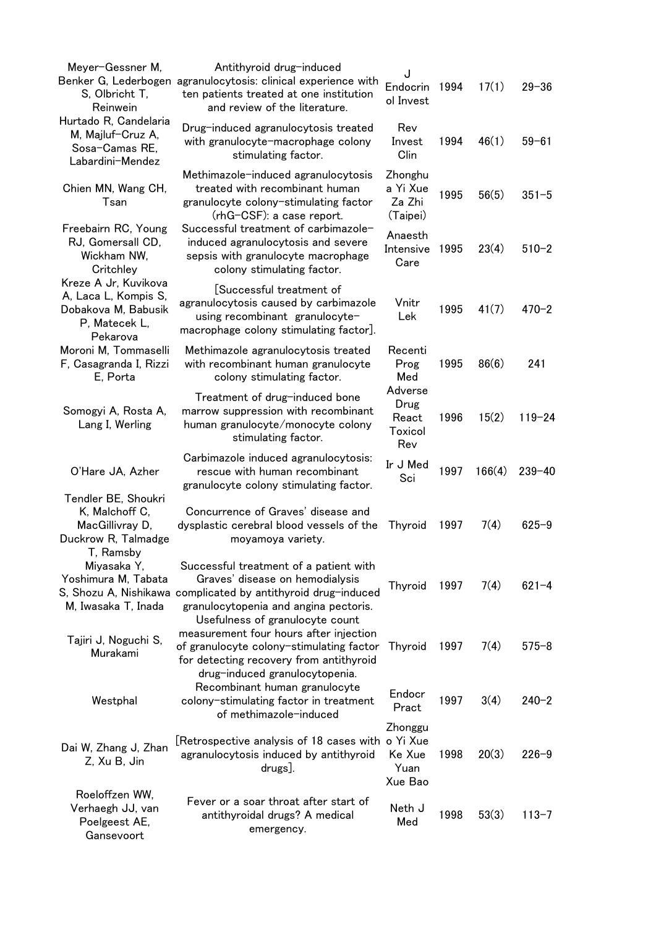| Meyer-Gessner M,<br>S, Olbricht T,<br>Reinwein                                                   | Antithyroid drug-induced<br>Benker G, Lederbogen agranulocytosis: clinical experience with<br>ten patients treated at one institution<br>and review of the literature.                                                 | J<br>Endocrin<br>ol Invest                       | 1994 | 17(1)  | $29 - 36$  |
|--------------------------------------------------------------------------------------------------|------------------------------------------------------------------------------------------------------------------------------------------------------------------------------------------------------------------------|--------------------------------------------------|------|--------|------------|
| Hurtado R, Candelaria<br>M, Majluf-Cruz A,<br>Sosa-Camas RE,<br>Labardini-Mendez                 | Drug-induced agranulocytosis treated<br>with granulocyte-macrophage colony<br>stimulating factor.                                                                                                                      | Rev<br>Invest<br>Clin                            | 1994 | 46(1)  | $59 - 61$  |
| Chien MN, Wang CH,<br>Tsan                                                                       | Methimazole-induced agranulocytosis<br>treated with recombinant human<br>granulocyte colony-stimulating factor<br>(rhG-CSF): a case report.                                                                            | Zhonghu<br>a Yi Xue<br>Za Zhi<br>(Taipei)        | 1995 | 56(5)  | $351 - 5$  |
| Freebairn RC, Young<br>RJ, Gomersall CD,<br>Wickham NW,<br>Critchley                             | Successful treatment of carbimazole-<br>induced agranulocytosis and severe<br>sepsis with granulocyte macrophage<br>colony stimulating factor.                                                                         | Anaesth<br>Intensive<br>Care                     | 1995 | 23(4)  | $510 - 2$  |
| Kreze A Jr, Kuvikova<br>A, Laca L, Kompis S,<br>Dobakova M, Babusik<br>P, Matecek L,<br>Pekarova | [Successful treatment of<br>agranulocytosis caused by carbimazole<br>using recombinant granulocyte-<br>macrophage colony stimulating factor].                                                                          | Vnitr<br>Lek                                     | 1995 | 41(7)  | $470 - 2$  |
| Moroni M, Tommaselli<br>F, Casagranda I, Rizzi<br>E, Porta                                       | Methimazole agranulocytosis treated<br>with recombinant human granulocyte<br>colony stimulating factor.                                                                                                                | Recenti<br>Prog<br>Med                           | 1995 | 86(6)  | 241        |
| Somogyi A, Rosta A,<br>Lang I, Werling                                                           | Treatment of drug-induced bone<br>marrow suppression with recombinant<br>human granulocyte/monocyte colony<br>stimulating factor.                                                                                      | Adverse<br>Drug<br>React<br>Toxicol<br>Rev       | 1996 | 15(2)  | $119 - 24$ |
| O'Hare JA, Azher                                                                                 | Carbimazole induced agranulocytosis:<br>rescue with human recombinant<br>granulocyte colony stimulating factor.                                                                                                        | Ir J Med<br>Sci                                  | 1997 | 166(4) | $239 - 40$ |
| Tendler BE, Shoukri<br>K, Malchoff C,<br>MacGillivray D,<br>Duckrow R, Talmadge<br>T, Ramsby     | Concurrence of Graves' disease and<br>dysplastic cerebral blood vessels of the<br>moyamoya variety.                                                                                                                    | Thyroid                                          | 1997 | 7(4)   | $625 - 9$  |
| Miyasaka Y,<br>Yoshimura M, Tabata<br>M, Iwasaka T, Inada                                        | Successful treatment of a patient with<br>Graves' disease on hemodialysis<br>S, Shozu A, Nishikawa complicated by antithyroid drug-induced<br>granulocytopenia and angina pectoris.<br>Usefulness of granulocyte count | Thyroid                                          | 1997 | 7(4)   | $621 - 4$  |
| Tajiri J, Noguchi S,<br>Murakami                                                                 | measurement four hours after injection<br>of granulocyte colony-stimulating factor<br>for detecting recovery from antithyroid                                                                                          | Thyroid                                          | 1997 | 7(4)   | $575 - 8$  |
| Westphal                                                                                         | drug-induced granulocytopenia.<br>Recombinant human granulocyte<br>colony-stimulating factor in treatment<br>of methimazole-induced                                                                                    | Endocr<br>Pract                                  | 1997 | 3(4)   | $240 - 2$  |
| Dai W, Zhang J, Zhan<br>Z, Xu B, Jin                                                             | [Retrospective analysis of 18 cases with<br>agranulocytosis induced by antithyroid<br>drugs].                                                                                                                          | Zhonggu<br>o Yi Xue<br>Ke Xue<br>Yuan<br>Xue Bao | 1998 | 20(3)  | $226 - 9$  |
| Roeloffzen WW,<br>Verhaegh JJ, van<br>Poelgeest AE,<br>Gansevoort                                | Fever or a soar throat after start of<br>antithyroidal drugs? A medical<br>emergency.                                                                                                                                  | Neth J<br>Med                                    | 1998 | 53(3)  | $113 - 7$  |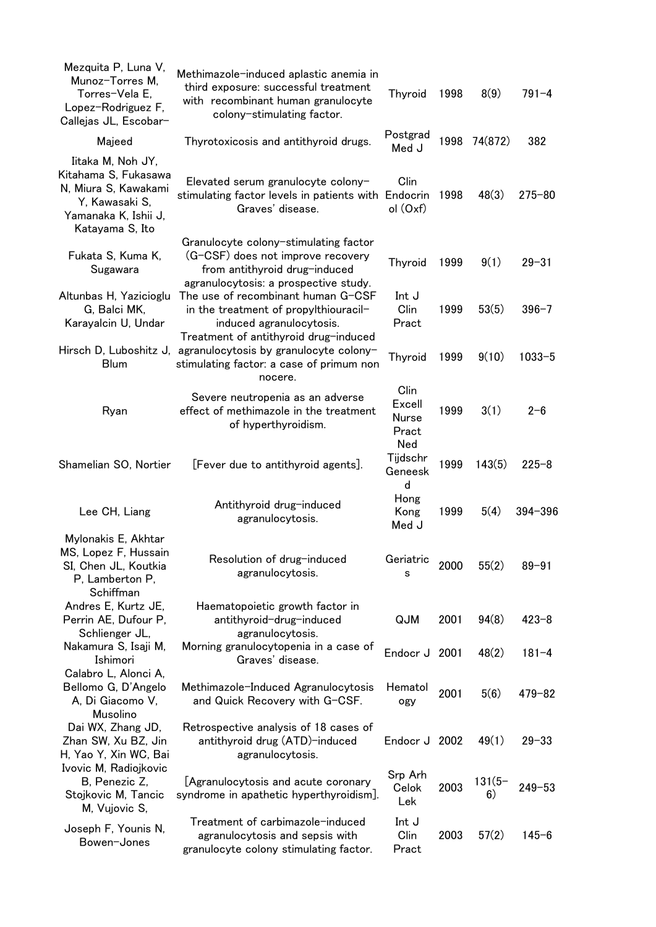| Mezquita P, Luna V,<br>Munoz-Torres M,<br>Torres-Vela E.<br>Lopez-Rodriguez F,<br>Callejas JL, Escobar-                        | Methimazole-induced aplastic anemia in<br>third exposure: successful treatment<br>with recombinant human granulocyte<br>colony-stimulating factor.   | <b>Thyroid</b>                          | 1998 | 8(9)           | $791 - 4$  |
|--------------------------------------------------------------------------------------------------------------------------------|------------------------------------------------------------------------------------------------------------------------------------------------------|-----------------------------------------|------|----------------|------------|
| Majeed                                                                                                                         | Thyrotoxicosis and antithyroid drugs.                                                                                                                | Postgrad<br>Med J                       | 1998 | 74(872)        | 382        |
| Iitaka M, Noh JY,<br>Kitahama S, Fukasawa<br>N, Miura S, Kawakami<br>Y, Kawasaki S,<br>Yamanaka K, Ishii J,<br>Katayama S, Ito | Elevated serum granulocyte colony-<br>stimulating factor levels in patients with<br>Graves' disease.                                                 | Clin<br>Endocrin<br>ol (Oxf)            | 1998 | 48(3)          | $275 - 80$ |
| Fukata S, Kuma K,<br>Sugawara                                                                                                  | Granulocyte colony-stimulating factor<br>(G-CSF) does not improve recovery<br>from antithyroid drug-induced<br>agranulocytosis: a prospective study. | Thyroid                                 | 1999 | 9(1)           | $29 - 31$  |
| Altunbas H, Yazicioglu<br>G, Balci MK,<br>Karayalcin U, Undar                                                                  | The use of recombinant human G-CSF<br>in the treatment of propylthiouracil-<br>induced agranulocytosis.                                              | Int J<br>Clin<br>Pract                  | 1999 | 53(5)          | $396 - 7$  |
| Hirsch D, Luboshitz J,<br><b>Blum</b>                                                                                          | Treatment of antithyroid drug-induced<br>agranulocytosis by granulocyte colony-<br>stimulating factor: a case of primum non<br>nocere.               | Thyroid                                 | 1999 | 9(10)          | $1033 - 5$ |
| Ryan                                                                                                                           | Severe neutropenia as an adverse<br>effect of methimazole in the treatment<br>of hyperthyroidism.                                                    | Clin<br>Excell<br>Nurse<br>Pract<br>Ned | 1999 | 3(1)           | $2 - 6$    |
| Shamelian SO, Nortier                                                                                                          | [Fever due to antithyroid agents].                                                                                                                   | Tijdschr<br>Geneesk<br>d                | 1999 | 143(5)         | $225 - 8$  |
| Lee CH, Liang                                                                                                                  | Antithyroid drug-induced<br>agranulocytosis.                                                                                                         | Hong<br>Kong<br>Med J                   | 1999 | 5(4)           | 394-396    |
| Mylonakis E, Akhtar<br>MS, Lopez F, Hussain<br>SI, Chen JL, Koutkia<br>P, Lamberton P,<br>Schiffman                            | Resolution of drug-induced<br>agranulocytosis.                                                                                                       | Geriatric<br>s                          | 2000 | 55(2)          | $89 - 91$  |
| Andres E, Kurtz JE,<br>Perrin AE, Dufour P,<br>Schlienger JL,                                                                  | Haematopoietic growth factor in<br>antithyroid-drug-induced<br>agranulocytosis.                                                                      | QJM                                     | 2001 | 94(8)          | $423 - 8$  |
| Nakamura S, Isaji M,<br>Ishimori                                                                                               | Morning granulocytopenia in a case of<br>Graves' disease.                                                                                            | Endocr J                                | 2001 | 48(2)          | $181 - 4$  |
| Calabro L, Alonci A,<br>Bellomo G, D'Angelo<br>A, Di Giacomo V,<br>Musolino                                                    | Methimazole-Induced Agranulocytosis<br>and Quick Recovery with G-CSF.                                                                                | Hematol<br>ogy                          | 2001 | 5(6)           | $479 - 82$ |
| Dai WX, Zhang JD,<br>Zhan SW, Xu BZ, Jin<br>H, Yao Y, Xin WC, Bai                                                              | Retrospective analysis of 18 cases of<br>antithyroid drug (ATD)-induced<br>agranulocytosis.                                                          | Endocr J 2002                           |      | 49(1)          | $29 - 33$  |
| Ivovic M, Radiojkovic<br>B, Penezic Z,<br>Stojkovic M, Tancic<br>M, Vujovic S,                                                 | [Agranulocytosis and acute coronary<br>syndrome in apathetic hyperthyroidism].                                                                       | Srp Arh<br>Celok<br>Lek                 | 2003 | $131(5-$<br>6) | $249 - 53$ |
| Joseph F, Younis N,<br>Bowen-Jones                                                                                             | Treatment of carbimazole-induced<br>agranulocytosis and sepsis with<br>granulocyte colony stimulating factor.                                        | Int J<br>Clin<br>Pract                  | 2003 | 57(2)          | $145 - 6$  |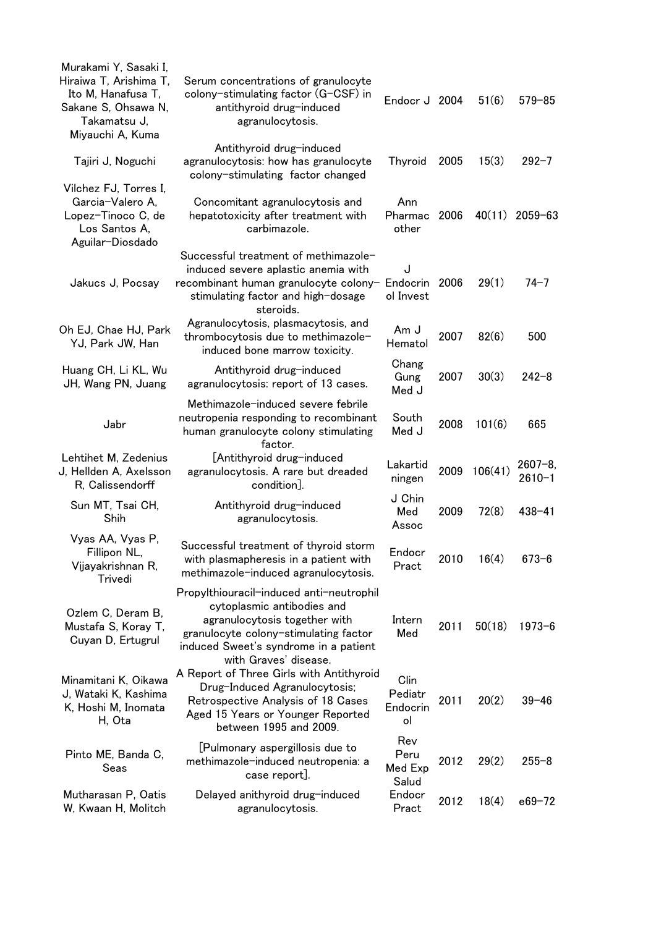| Murakami Y, Sasaki I,<br>Hiraiwa T, Arishima T,<br>Ito M, Hanafusa T,<br>Sakane S, Ohsawa N,<br>Takamatsu J,<br>Miyauchi A, Kuma | Serum concentrations of granulocyte<br>colony-stimulating factor (G-CSF) in<br>antithyroid drug-induced<br>agranulocytosis.                                                                                        | Endocr J 2004                     |      | 51(6)   | $579 - 85$               |
|----------------------------------------------------------------------------------------------------------------------------------|--------------------------------------------------------------------------------------------------------------------------------------------------------------------------------------------------------------------|-----------------------------------|------|---------|--------------------------|
| Tajiri J, Noguchi                                                                                                                | Antithyroid drug-induced<br>agranulocytosis: how has granulocyte<br>colony-stimulating factor changed                                                                                                              | <b>Thyroid</b>                    | 2005 | 15(3)   | $292 - 7$                |
| Vilchez FJ, Torres I,<br>Garcia-Valero A,<br>Lopez-Tinoco C, de<br>Los Santos A,<br>Aguilar-Diosdado                             | Concomitant agranulocytosis and<br>hepatotoxicity after treatment with<br>carbimazole.                                                                                                                             | Ann<br>Pharmac<br>other           | 2006 | 40(11)  | $2059 - 63$              |
| Jakucs J, Pocsay                                                                                                                 | Successful treatment of methimazole-<br>induced severe aplastic anemia with<br>recombinant human granulocyte colony- Endocrin<br>stimulating factor and high-dosage<br>steroids.                                   | J<br>ol Invest                    | 2006 | 29(1)   | $74 - 7$                 |
| Oh EJ, Chae HJ, Park<br>YJ, Park JW, Han                                                                                         | Agranulocytosis, plasmacytosis, and<br>thrombocytosis due to methimazole-<br>induced bone marrow toxicity.                                                                                                         | ل Am<br>Hematol                   | 2007 | 82(6)   | 500                      |
| Huang CH, Li KL, Wu<br>JH, Wang PN, Juang                                                                                        | Antithyroid drug-induced<br>agranulocytosis: report of 13 cases.                                                                                                                                                   | Chang<br>Gung<br>Med J            | 2007 | 30(3)   | $242 - 8$                |
| Jabr                                                                                                                             | Methimazole-induced severe febrile<br>neutropenia responding to recombinant<br>human granulocyte colony stimulating<br>factor.                                                                                     | South<br>Med J                    | 2008 | 101(6)  | 665                      |
| Lehtihet M, Zedenius<br>J, Hellden A, Axelsson<br>R, Calissendorff                                                               | [Antithyroid drug-induced<br>agranulocytosis. A rare but dreaded<br>condition].                                                                                                                                    | Lakartid<br>ningen                | 2009 | 106(41) | $2607 - 8$<br>$2610 - 1$ |
| Sun MT, Tsai CH,<br>Shih                                                                                                         | Antithyroid drug-induced<br>agranulocytosis.                                                                                                                                                                       | J Chin<br>Med<br>Assoc            | 2009 | 72(8)   | $438 - 41$               |
| Vyas AA, Vyas P,<br>Fillipon NL,<br>Vijayakrishnan R,<br>Trivedi                                                                 | Successful treatment of thyroid storm<br>with plasmapheresis in a patient with<br>methimazole-induced agranulocytosis.                                                                                             | Endocr<br>Pract                   | 2010 | 16(4)   | $673 - 6$                |
| Ozlem C, Deram B,<br>Mustafa S, Koray T,<br>Cuyan D, Ertugrul                                                                    | Propylthiouracil-induced anti-neutrophil<br>cytoplasmic antibodies and<br>agranulocytosis together with<br>granulocyte colony-stimulating factor<br>induced Sweet's syndrome in a patient<br>with Graves' disease. | Intern<br>Med                     | 2011 | 50(18)  | $1973 - 6$               |
| Minamitani K, Oikawa<br>J, Wataki K, Kashima<br>K, Hoshi M, Inomata<br>H, Ota                                                    | A Report of Three Girls with Antithyroid<br>Drug-Induced Agranulocytosis;<br>Retrospective Analysis of 18 Cases<br>Aged 15 Years or Younger Reported<br>between 1995 and 2009.                                     | Clin<br>Pediatr<br>Endocrin<br>ol | 2011 | 20(2)   | $39 - 46$                |
| Pinto ME, Banda C,<br>Seas                                                                                                       | [Pulmonary aspergillosis due to<br>methimazole-induced neutropenia: a<br>case report].                                                                                                                             | Rev<br>Peru<br>Med Exp<br>Salud   | 2012 | 29(2)   | $255 - 8$                |
| Mutharasan P, Oatis<br>W, Kwaan H, Molitch                                                                                       | Delayed anithyroid drug-induced<br>agranulocytosis.                                                                                                                                                                | Endocr<br>Pract                   | 2012 | 18(4)   | $e69 - 72$               |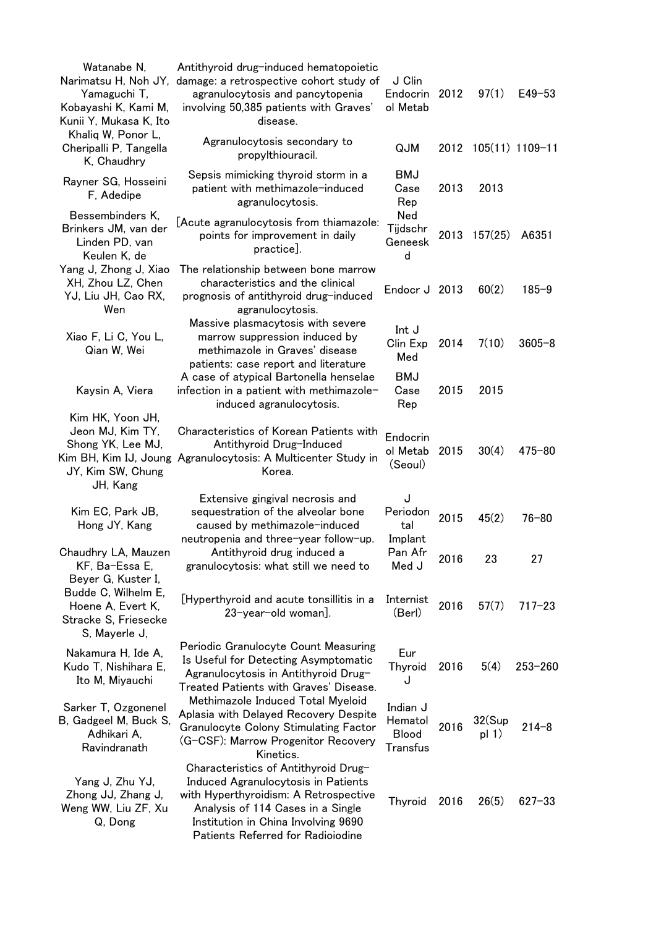| Watanabe N,<br>Narimatsu H, Noh JY,<br>Yamaguchi T,<br>Kobayashi K, Kami M,<br>Kunii Y, Mukasa K, Ito | Antithyroid drug-induced hematopoietic<br>damage: a retrospective cohort study of<br>agranulocytosis and pancytopenia<br>involving 50,385 patients with Graves'<br>disease.                                                           | J Clin<br>Endocrin<br>ol Metab                  | 2012 | 97(1)              | $E49 - 53$  |
|-------------------------------------------------------------------------------------------------------|---------------------------------------------------------------------------------------------------------------------------------------------------------------------------------------------------------------------------------------|-------------------------------------------------|------|--------------------|-------------|
| Khaliq W, Ponor L,<br>Cheripalli P, Tangella<br>K, Chaudhry                                           | Agranulocytosis secondary to<br>propylthiouracil.                                                                                                                                                                                     | QJM                                             | 2012 | 105(11) 1109-11    |             |
| Rayner SG, Hosseini<br>F, Adedipe                                                                     | Sepsis mimicking thyroid storm in a<br>patient with methimazole-induced<br>agranulocytosis.                                                                                                                                           | BMJ<br>Case<br>Rep                              | 2013 | 2013               |             |
| Bessembinders K,<br>Brinkers JM, van der<br>Linden PD, van<br>Keulen K, de                            | [Acute agranulocytosis from thiamazole:<br>points for improvement in daily<br>practice].                                                                                                                                              | Ned<br>Tijdschr<br>Geneesk<br>d                 | 2013 | 157(25)            | A6351       |
| Yang J, Zhong J, Xiao<br>XH, Zhou LZ, Chen<br>YJ, Liu JH, Cao RX,<br>Wen                              | The relationship between bone marrow<br>characteristics and the clinical<br>prognosis of antithyroid drug-induced<br>agranulocytosis.                                                                                                 | Endocr J 2013                                   |      | 60(2)              | $185 - 9$   |
| Xiao F, Li C, You L,<br>Qian W, Wei                                                                   | Massive plasmacytosis with severe<br>marrow suppression induced by<br>methimazole in Graves' disease<br>patients: case report and literature                                                                                          | Int J<br>Clin Exp<br>Med                        | 2014 | 7(10)              | $3605 - 8$  |
| Kaysin A, Viera                                                                                       | A case of atypical Bartonella henselae<br>infection in a patient with methimazole-<br>induced agranulocytosis.                                                                                                                        | <b>BMJ</b><br>Case<br>Rep                       | 2015 | 2015               |             |
| Kim HK, Yoon JH,<br>Jeon MJ, Kim TY,<br>Shong YK, Lee MJ,<br>JY, Kim SW, Chung<br>JH, Kang            | Characteristics of Korean Patients with<br>Antithyroid Drug-Induced<br>Kim BH, Kim IJ, Joung Agranulocytosis: A Multicenter Study in<br>Korea.                                                                                        | Endocrin<br>ol Metab<br>(Seoul)                 | 2015 | 30(4)              | $475 - 80$  |
| Kim EC, Park JB,<br>Hong JY, Kang                                                                     | Extensive gingival necrosis and<br>sequestration of the alveolar bone<br>caused by methimazole-induced<br>neutropenia and three-year follow-up.                                                                                       | J<br>Periodon<br>tal<br>Implant                 | 2015 | 45(2)              | $76 - 80$   |
| Chaudhry LA, Mauzen<br>KF, Ba-Essa E,<br>Beyer G, Kuster I,                                           | Antithyroid drug induced a<br>granulocytosis: what still we need to                                                                                                                                                                   | Pan Afr<br>Med J                                | 2016 | 23                 | 27          |
| Budde C, Wilhelm E,<br>Hoene A, Evert K,<br>Stracke S, Friesecke<br>S, Mayerle J,                     | [Hyperthyroid and acute tonsillitis in a<br>23-year-old woman].                                                                                                                                                                       | Internist<br>(Berl)                             | 2016 | 57(7)              | $717 - 23$  |
| Nakamura H, Ide A,<br>Kudo T, Nishihara E,<br>Ito M, Miyauchi                                         | Periodic Granulocyte Count Measuring<br>Is Useful for Detecting Asymptomatic<br>Agranulocytosis in Antithyroid Drug-<br>Treated Patients with Graves' Disease.                                                                        | Eur<br><b>Thyroid</b><br>J                      | 2016 | 5(4)               | $253 - 260$ |
| Sarker T, Ozgonenel<br>B, Gadgeel M, Buck S,<br>Adhikari A,<br>Ravindranath                           | Methimazole Induced Total Myeloid<br>Aplasia with Delayed Recovery Despite<br>Granulocyte Colony Stimulating Factor<br>(G-CSF): Marrow Progenitor Recovery<br>Kinetics.                                                               | Indian J<br>Hematol<br><b>Blood</b><br>Transfus | 2016 | 32(Sup)<br>pl $1)$ | $214 - 8$   |
| Yang J, Zhu YJ,<br>Zhong JJ, Zhang J,<br>Weng WW, Liu ZF, Xu<br>Q, Dong                               | Characteristics of Antithyroid Drug-<br>Induced Agranulocytosis in Patients<br>with Hyperthyroidism: A Retrospective<br>Analysis of 114 Cases in a Single<br>Institution in China Involving 9690<br>Patients Referred for Radioiodine | <b>Thyroid</b>                                  | 2016 | 26(5)              | $627 - 33$  |